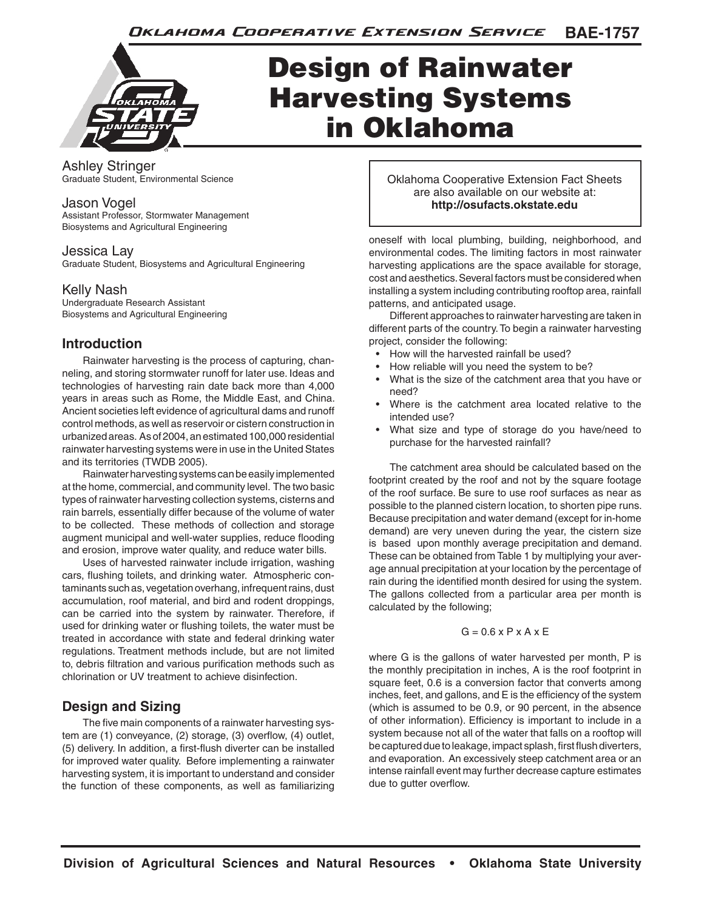

# Design of Rainwater Harvesting Systems in Oklahoma

Ashley Stringer Graduate Student, Environmental Science

#### Jason Vogel

Assistant Professor, Stormwater Management Biosystems and Agricultural Engineering

#### Jessica Lay

Graduate Student, Biosystems and Agricultural Engineering

### Kelly Nash

Undergraduate Research Assistant Biosystems and Agricultural Engineering

## **Introduction**

Rainwater harvesting is the process of capturing, channeling, and storing stormwater runoff for later use. Ideas and technologies of harvesting rain date back more than 4,000 years in areas such as Rome, the Middle East, and China. Ancient societies left evidence of agricultural dams and runoff control methods, as well as reservoir or cistern construction in urbanized areas. As of 2004, an estimated 100,000 residential rainwater harvesting systems were in use in the United States and its territories (TWDB 2005).

Rainwater harvesting systems can be easily implemented at the home, commercial, and community level. The two basic types of rainwater harvesting collection systems, cisterns and rain barrels, essentially differ because of the volume of water to be collected. These methods of collection and storage augment municipal and well-water supplies, reduce flooding and erosion, improve water quality, and reduce water bills.

Uses of harvested rainwater include irrigation, washing cars, flushing toilets, and drinking water. Atmospheric contaminants such as, vegetation overhang, infrequent rains, dust accumulation, roof material, and bird and rodent droppings, can be carried into the system by rainwater. Therefore, if used for drinking water or flushing toilets, the water must be treated in accordance with state and federal drinking water regulations. Treatment methods include, but are not limited to, debris filtration and various purification methods such as chlorination or UV treatment to achieve disinfection.

## **Design and Sizing**

The five main components of a rainwater harvesting system are (1) conveyance, (2) storage, (3) overflow, (4) outlet, (5) delivery. In addition, a first-flush diverter can be installed for improved water quality. Before implementing a rainwater harvesting system, it is important to understand and consider the function of these components, as well as familiarizing

Oklahoma Cooperative Extension Fact Sheets are also available on our website at: **http://osufacts.okstate.edu**

oneself with local plumbing, building, neighborhood, and environmental codes. The limiting factors in most rainwater harvesting applications are the space available for storage, cost and aesthetics. Several factors must be considered when installing a system including contributing rooftop area, rainfall patterns, and anticipated usage.

Different approaches to rainwater harvesting are taken in different parts of the country. To begin a rainwater harvesting project, consider the following:

- How will the harvested rainfall be used?
- How reliable will you need the system to be?
- What is the size of the catchment area that you have or need?
- Where is the catchment area located relative to the intended use?
- What size and type of storage do you have/need to purchase for the harvested rainfall?

The catchment area should be calculated based on the footprint created by the roof and not by the square footage of the roof surface. Be sure to use roof surfaces as near as possible to the planned cistern location, to shorten pipe runs. Because precipitation and water demand (except for in-home demand) are very uneven during the year, the cistern size is based upon monthly average precipitation and demand. These can be obtained from Table 1 by multiplying your average annual precipitation at your location by the percentage of rain during the identified month desired for using the system. The gallons collected from a particular area per month is calculated by the following;

#### $G = 0.6$  x P x A x E

where G is the gallons of water harvested per month, P is the monthly precipitation in inches, A is the roof footprint in square feet, 0.6 is a conversion factor that converts among inches, feet, and gallons, and E is the efficiency of the system (which is assumed to be 0.9, or 90 percent, in the absence of other information). Efficiency is important to include in a system because not all of the water that falls on a rooftop will be captured due to leakage, impact splash, first flush diverters, and evaporation. An excessively steep catchment area or an intense rainfall event may further decrease capture estimates due to gutter overflow.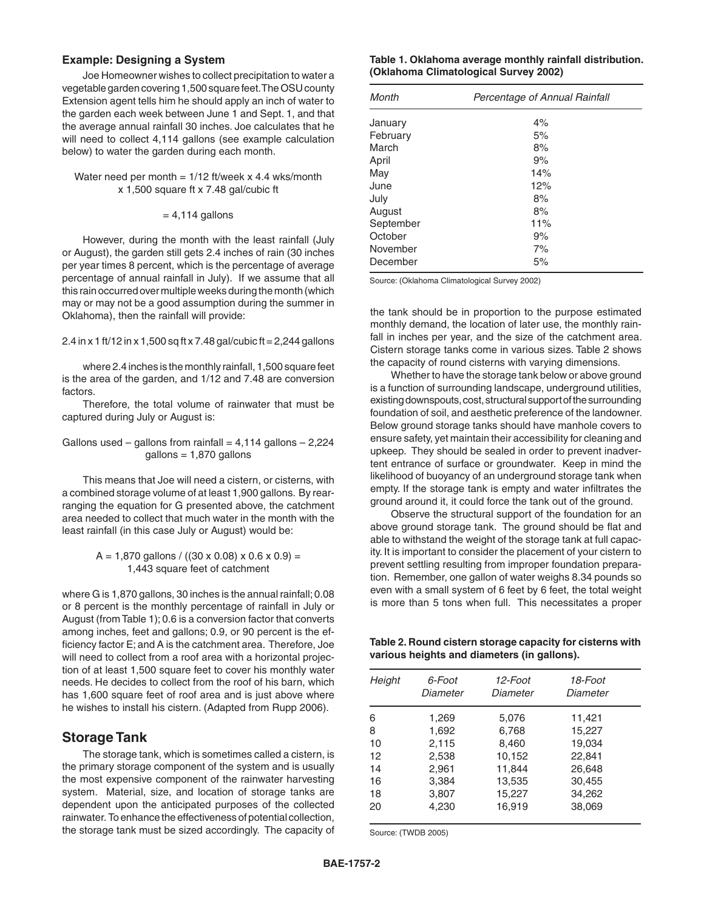#### **Example: Designing a System**

Joe Homeowner wishes to collect precipitation to water a vegetable garden covering 1,500 square feet. The OSU county Extension agent tells him he should apply an inch of water to the garden each week between June 1 and Sept. 1, and that the average annual rainfall 30 inches. Joe calculates that he will need to collect 4,114 gallons (see example calculation below) to water the garden during each month.

Water need per month =  $1/12$  ft/week x 4.4 wks/month x 1,500 square ft x 7.48 gal/cubic ft

#### $= 4,114$  gallons

However, during the month with the least rainfall (July or August), the garden still gets 2.4 inches of rain (30 inches per year times 8 percent, which is the percentage of average percentage of annual rainfall in July). If we assume that all this rain occurred over multiple weeks during the month (which may or may not be a good assumption during the summer in Oklahoma), then the rainfall will provide:

#### 2.4 in x 1 ft/12 in x 1,500 sq ft x 7.48 gal/cubic ft = 2,244 gallons

where 2.4 inches is the monthly rainfall, 1,500 square feet is the area of the garden, and 1/12 and 7.48 are conversion factors.

Therefore, the total volume of rainwater that must be captured during July or August is:

Gallons used – gallons from rainfall =  $4,114$  gallons – 2,224 gallons = 1,870 gallons

This means that Joe will need a cistern, or cisterns, with a combined storage volume of at least 1,900 gallons. By rearranging the equation for G presented above, the catchment area needed to collect that much water in the month with the least rainfall (in this case July or August) would be:

> $A = 1,870$  gallons / ((30 x 0.08) x 0.6 x 0.9) = 1,443 square feet of catchment

where G is 1,870 gallons, 30 inches is the annual rainfall; 0.08 or 8 percent is the monthly percentage of rainfall in July or August (from Table 1); 0.6 is a conversion factor that converts among inches, feet and gallons; 0.9, or 90 percent is the efficiency factor E; and A is the catchment area. Therefore, Joe will need to collect from a roof area with a horizontal projection of at least 1,500 square feet to cover his monthly water needs. He decides to collect from the roof of his barn, which has 1,600 square feet of roof area and is just above where he wishes to install his cistern. (Adapted from Rupp 2006).

#### **Storage Tank**

The storage tank, which is sometimes called a cistern, is the primary storage component of the system and is usually the most expensive component of the rainwater harvesting system. Material, size, and location of storage tanks are dependent upon the anticipated purposes of the collected rainwater. To enhance the effectiveness of potential collection, the storage tank must be sized accordingly. The capacity of

**Table 1. Oklahoma average monthly rainfall distribution. (Oklahoma Climatological Survey 2002)**

| Month     | Percentage of Annual Rainfall |
|-----------|-------------------------------|
| January   | 4%                            |
| February  | 5%                            |
| March     | 8%                            |
| April     | 9%                            |
| May       | 14%                           |
| June      | 12%                           |
| July      | 8%                            |
| August    | 8%                            |
| September | 11%                           |
| October   | 9%                            |
| November  | 7%                            |
| December  | 5%                            |

Source: (Oklahoma Climatological Survey 2002)

the tank should be in proportion to the purpose estimated monthly demand, the location of later use, the monthly rainfall in inches per year, and the size of the catchment area. Cistern storage tanks come in various sizes. Table 2 shows the capacity of round cisterns with varying dimensions.

Whether to have the storage tank below or above ground is a function of surrounding landscape, underground utilities, existing downspouts, cost, structural support of the surrounding foundation of soil, and aesthetic preference of the landowner. Below ground storage tanks should have manhole covers to ensure safety, yet maintain their accessibility for cleaning and upkeep. They should be sealed in order to prevent inadvertent entrance of surface or groundwater. Keep in mind the likelihood of buoyancy of an underground storage tank when empty. If the storage tank is empty and water infiltrates the ground around it, it could force the tank out of the ground.

Observe the structural support of the foundation for an above ground storage tank. The ground should be flat and able to withstand the weight of the storage tank at full capacity. It is important to consider the placement of your cistern to prevent settling resulting from improper foundation preparation. Remember, one gallon of water weighs 8.34 pounds so even with a small system of 6 feet by 6 feet, the total weight is more than 5 tons when full. This necessitates a proper

**Table 2. Round cistern storage capacity for cisterns with various heights and diameters (in gallons).**

| Height | 6-Foot<br>Diameter | 12-Foot<br>Diameter | 18-Foot<br>Diameter |  |
|--------|--------------------|---------------------|---------------------|--|
| 6      | 1,269              | 5,076               | 11,421              |  |
| 8      | 1,692              | 6,768               | 15,227              |  |
| 10     | 2,115              | 8,460               | 19,034              |  |
| 12     | 2,538              | 10,152              | 22,841              |  |
| 14     | 2,961              | 11,844              | 26,648              |  |
| 16     | 3,384              | 13,535              | 30,455              |  |
| 18     | 3,807              | 15,227              | 34,262              |  |
| 20     | 4,230              | 16,919              | 38,069              |  |
|        |                    |                     |                     |  |

Source: (TWDB 2005)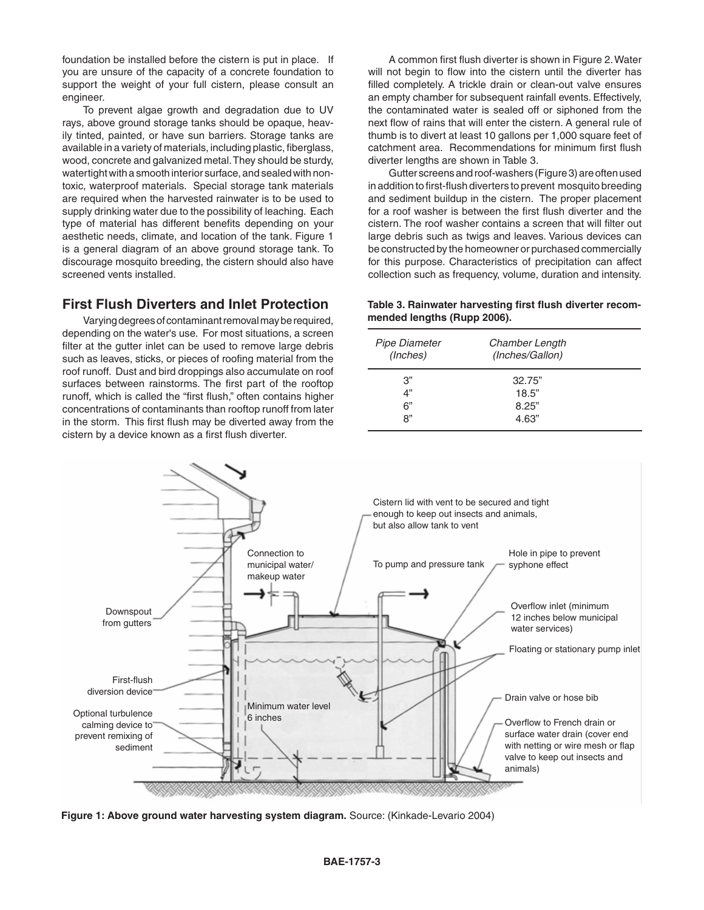foundation be installed before the cistern is put in place. If you are unsure of the capacity of a concrete foundation to support the weight of your full cistern, please consult an engineer.

To prevent algae growth and degradation due to UV rays, above ground storage tanks should be opaque, heavily tinted, painted, or have sun barriers. Storage tanks are available in a variety of materials, including plastic, fiberglass, wood, concrete and galvanized metal. They should be sturdy, watertight with a smooth interior surface, and sealed with nontoxic, waterproof materials. Special storage tank materials are required when the harvested rainwater is to be used to supply drinking water due to the possibility of leaching. Each type of material has different benefits depending on your aesthetic needs, climate, and location of the tank. Figure 1 is a general diagram of an above ground storage tank. To discourage mosquito breeding, the cistern should also have screened vents installed.

## **First Flush Diverters and Inlet Protection**

Varying degrees of contaminant removal may be required, depending on the water's use. For most situations, a screen filter at the gutter inlet can be used to remove large debris such as leaves, sticks, or pieces of roofing material from the roof runoff. Dust and bird droppings also accumulate on roof surfaces between rainstorms. The first part of the rooftop runoff, which is called the "first flush," often contains higher concentrations of contaminants than rooftop runoff from later in the storm. This first flush may be diverted away from the cistern by a device known as a first flush diverter.

A common first flush diverter is shown in Figure 2. Water will not begin to flow into the cistern until the diverter has filled completely. A trickle drain or clean-out valve ensures an empty chamber for subsequent rainfall events. Effectively, the contaminated water is sealed off or siphoned from the next flow of rains that will enter the cistern. A general rule of thumb is to divert at least 10 gallons per 1,000 square feet of catchment area. Recommendations for minimum first flush diverter lengths are shown in Table 3.

Gutter screens and roof-washers (Figure 3) are often used in addition to first-flush diverters to prevent mosquito breeding and sediment buildup in the cistern. The proper placement for a roof washer is between the first flush diverter and the cistern. The roof washer contains a screen that will filter out large debris such as twigs and leaves. Various devices can be constructed by the homeowner or purchased commercially for this purpose. Characteristics of precipitation can affect collection such as frequency, volume, duration and intensity.

#### **Table 3. Rainwater harvesting first flush diverter recommended lengths (Rupp 2006).**

| Pipe Diameter<br>(Inches) | Chamber Length<br>(Inches/Gallon) |  |
|---------------------------|-----------------------------------|--|
| 3"<br>4"<br>6"<br>ጸ"      | 32.75"<br>18.5"<br>8.25"<br>4.63" |  |



**Figure 1: Above ground water harvesting system diagram.** Source: (Kinkade-Levario 2004)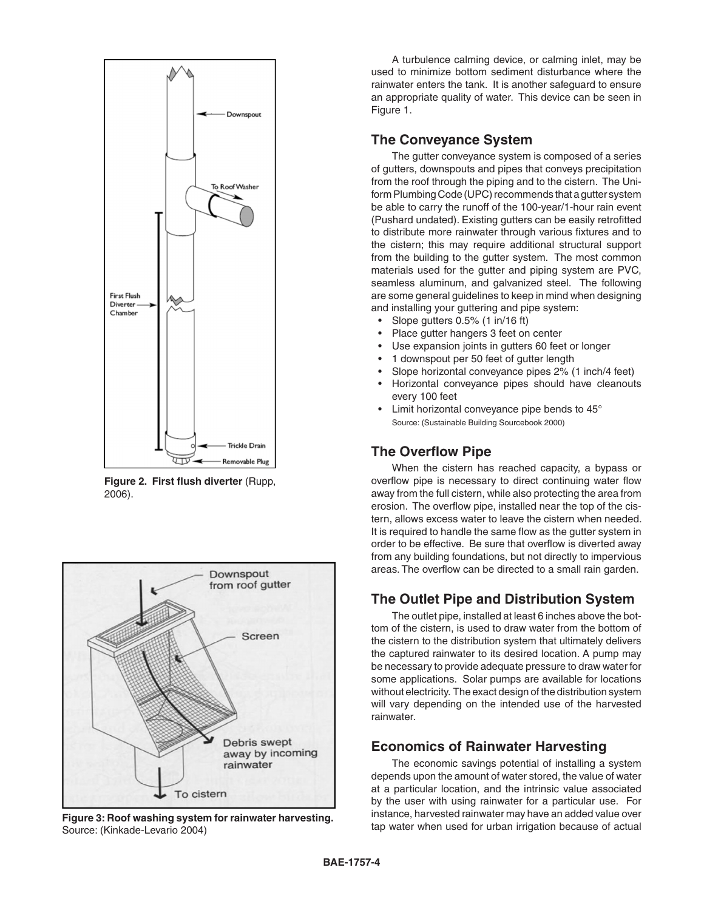

**Figure 2. First flush diverter** (Rupp, 2006).



Figure 3: Roof washing system for rainwater harvesting.<br>Source: (Kinkade-Lavario 2004) Source: (Kinkade-Levario 2004)

A turbulence calming device, or calming inlet, may be used to minimize bottom sediment disturbance where the rainwater enters the tank. It is another safeguard to ensure an appropriate quality of water. This device can be seen in Figure 1.

## **The Conveyance System**

The gutter conveyance system is composed of a series of gutters, downspouts and pipes that conveys precipitation from the roof through the piping and to the cistern. The Uniform Plumbing Code (UPC) recommends that a gutter system be able to carry the runoff of the 100-year/1-hour rain event (Pushard undated). Existing gutters can be easily retrofitted to distribute more rainwater through various fixtures and to the cistern; this may require additional structural support from the building to the gutter system. The most common materials used for the gutter and piping system are PVC, seamless aluminum, and galvanized steel. The following are some general guidelines to keep in mind when designing and installing your guttering and pipe system:

- Slope gutters 0.5% (1 in/16 ft)
- Place gutter hangers 3 feet on center
- Use expansion joints in gutters 60 feet or longer
- 1 downspout per 50 feet of gutter length
- Slope horizontal conveyance pipes 2% (1 inch/4 feet)
- Horizontal conveyance pipes should have cleanouts every 100 feet
- Limit horizontal conveyance pipe bends to 45° Source: (Sustainable Building Sourcebook 2000)

## **The Overflow Pipe**

When the cistern has reached capacity, a bypass or overflow pipe is necessary to direct continuing water flow away from the full cistern, while also protecting the area from erosion. The overflow pipe, installed near the top of the cistern, allows excess water to leave the cistern when needed. It is required to handle the same flow as the gutter system in order to be effective. Be sure that overflow is diverted away from any building foundations, but not directly to impervious areas. The overflow can be directed to a small rain garden.

## **The Outlet Pipe and Distribution System**

The outlet pipe, installed at least 6 inches above the bottom of the cistern, is used to draw water from the bottom of the cistern to the distribution system that ultimately delivers the captured rainwater to its desired location. A pump may be necessary to provide adequate pressure to draw water for some applications. Solar pumps are available for locations without electricity. The exact design of the distribution system will vary depending on the intended use of the harvested rainwater.

## **Economics of Rainwater Harvesting**

The economic savings potential of installing a system depends upon the amount of water stored, the value of water at a particular location, and the intrinsic value associated by the user with using rainwater for a particular use. For instance, harvested rainwater may have an added value over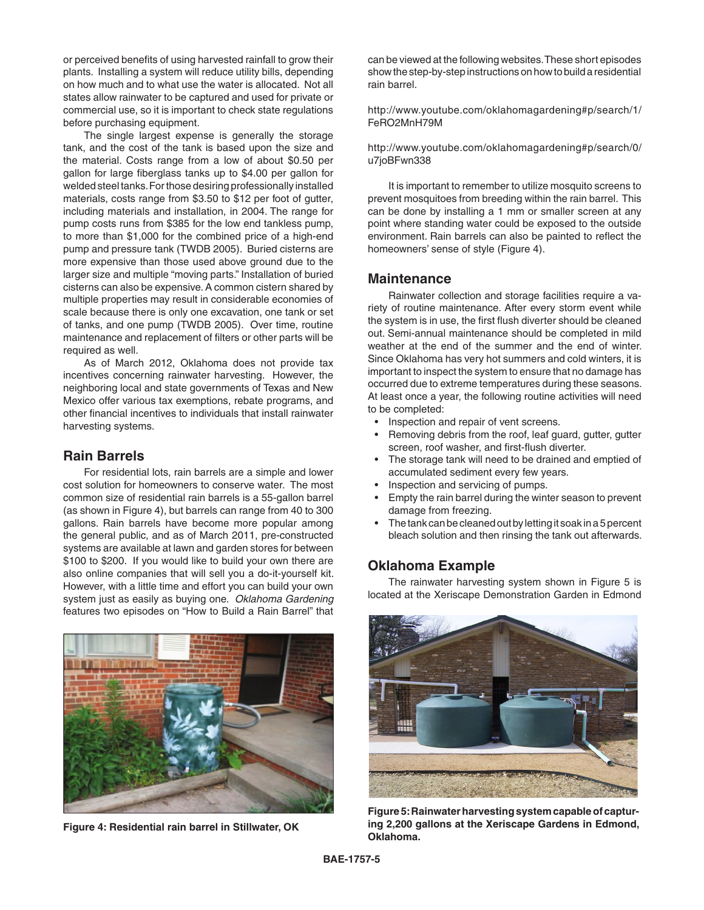or perceived benefits of using harvested rainfall to grow their plants. Installing a system will reduce utility bills, depending on how much and to what use the water is allocated. Not all states allow rainwater to be captured and used for private or commercial use, so it is important to check state regulations before purchasing equipment.

The single largest expense is generally the storage tank, and the cost of the tank is based upon the size and the material. Costs range from a low of about \$0.50 per gallon for large fiberglass tanks up to \$4.00 per gallon for welded steel tanks. For those desiring professionally installed materials, costs range from \$3.50 to \$12 per foot of gutter, including materials and installation, in 2004. The range for pump costs runs from \$385 for the low end tankless pump, to more than \$1,000 for the combined price of a high-end pump and pressure tank (TWDB 2005). Buried cisterns are more expensive than those used above ground due to the larger size and multiple "moving parts." Installation of buried cisterns can also be expensive. A common cistern shared by multiple properties may result in considerable economies of scale because there is only one excavation, one tank or set of tanks, and one pump (TWDB 2005). Over time, routine maintenance and replacement of filters or other parts will be required as well.

As of March 2012, Oklahoma does not provide tax incentives concerning rainwater harvesting. However, the neighboring local and state governments of Texas and New Mexico offer various tax exemptions, rebate programs, and other financial incentives to individuals that install rainwater harvesting systems.

#### **Rain Barrels**

For residential lots, rain barrels are a simple and lower cost solution for homeowners to conserve water. The most common size of residential rain barrels is a 55-gallon barrel (as shown in Figure 4), but barrels can range from 40 to 300 gallons. Rain barrels have become more popular among the general public, and as of March 2011, pre-constructed systems are available at lawn and garden stores for between \$100 to \$200. If you would like to build your own there are also online companies that will sell you a do-it-yourself kit. However, with a little time and effort you can build your own system just as easily as buying one. *Oklahoma Gardening* features two episodes on "How to Build a Rain Barrel" that



**Figure 4: Residential rain barrel in Stillwater, OK**

can be viewed at the following websites. These short episodes show the step-by-step instructions on how to build a residential rain barrel.

http://www.youtube.com/oklahomagardening#p/search/1/ FeRO2MnH79M

http://www.youtube.com/oklahomagardening#p/search/0/ u7joBFwn338

It is important to remember to utilize mosquito screens to prevent mosquitoes from breeding within the rain barrel. This can be done by installing a 1 mm or smaller screen at any point where standing water could be exposed to the outside environment. Rain barrels can also be painted to reflect the homeowners' sense of style (Figure 4).

#### **Maintenance**

Rainwater collection and storage facilities require a variety of routine maintenance. After every storm event while the system is in use, the first flush diverter should be cleaned out. Semi-annual maintenance should be completed in mild weather at the end of the summer and the end of winter. Since Oklahoma has very hot summers and cold winters, it is important to inspect the system to ensure that no damage has occurred due to extreme temperatures during these seasons. At least once a year, the following routine activities will need to be completed:

- Inspection and repair of vent screens.
- Removing debris from the roof, leaf guard, gutter, gutter screen, roof washer, and first-flush diverter.
- The storage tank will need to be drained and emptied of accumulated sediment every few years.
- Inspection and servicing of pumps.
- Empty the rain barrel during the winter season to prevent damage from freezing.
- The tank can be cleaned out by letting it soak in a 5 percent bleach solution and then rinsing the tank out afterwards.

#### **Oklahoma Example**

The rainwater harvesting system shown in Figure 5 is located at the Xeriscape Demonstration Garden in Edmond



**Figure 5: Rainwater harvesting system capable of capturing 2,200 gallons at the Xeriscape Gardens in Edmond, Oklahoma.**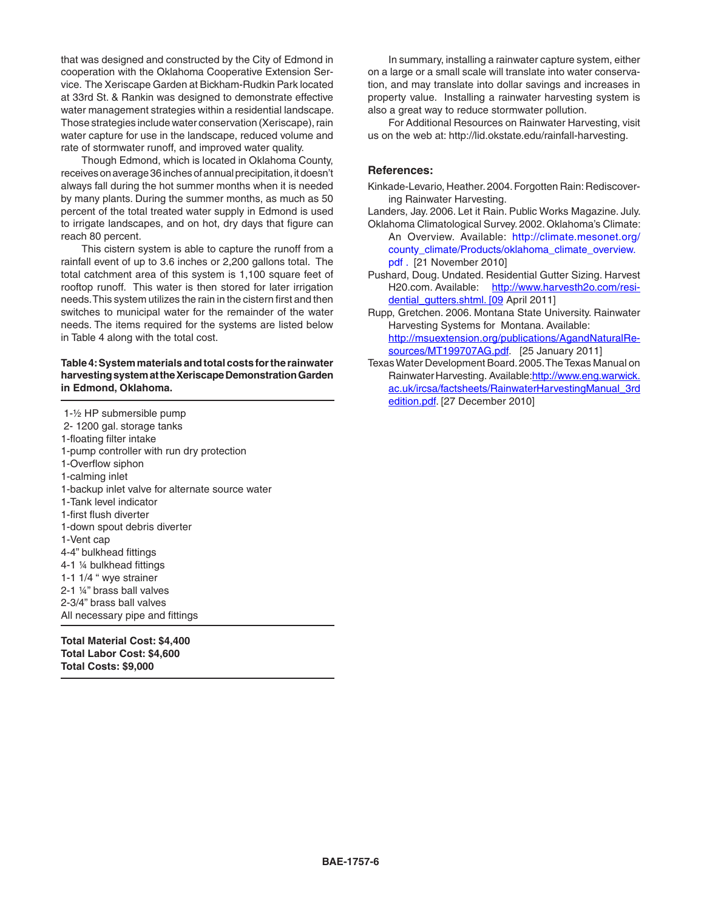that was designed and constructed by the City of Edmond in cooperation with the Oklahoma Cooperative Extension Service. The Xeriscape Garden at Bickham-Rudkin Park located at 33rd St. & Rankin was designed to demonstrate effective water management strategies within a residential landscape. Those strategies include water conservation (Xeriscape), rain water capture for use in the landscape, reduced volume and rate of stormwater runoff, and improved water quality.

Though Edmond, which is located in Oklahoma County, receives on average 36 inches of annual precipitation, it doesn't always fall during the hot summer months when it is needed by many plants. During the summer months, as much as 50 percent of the total treated water supply in Edmond is used to irrigate landscapes, and on hot, dry days that figure can reach 80 percent.

This cistern system is able to capture the runoff from a rainfall event of up to 3.6 inches or 2,200 gallons total. The total catchment area of this system is 1,100 square feet of rooftop runoff. This water is then stored for later irrigation needs. This system utilizes the rain in the cistern first and then switches to municipal water for the remainder of the water needs. The items required for the systems are listed below in Table 4 along with the total cost.

#### **Table 4: System materials and total costs for the rainwater harvesting system at the Xeriscape Demonstration Garden in Edmond, Oklahoma.**

 1-½ HP submersible pump 2- 1200 gal. storage tanks 1-floating filter intake 1-pump controller with run dry protection 1-Overflow siphon 1-calming inlet 1-backup inlet valve for alternate source water 1-Tank level indicator 1-first flush diverter 1-down spout debris diverter 1-Vent cap 4-4" bulkhead fittings 4-1 ¼ bulkhead fittings 1-1 1/4 " wye strainer 2-1 ¼" brass ball valves 2-3/4" brass ball valves All necessary pipe and fittings

**Total Material Cost: \$4,400 Total Labor Cost: \$4,600 Total Costs: \$9,000**

In summary, installing a rainwater capture system, either on a large or a small scale will translate into water conservation, and may translate into dollar savings and increases in property value. Installing a rainwater harvesting system is also a great way to reduce stormwater pollution.

For Additional Resources on Rainwater Harvesting, visit us on the web at: http://lid.okstate.edu/rainfall-harvesting.

#### **References:**

- Kinkade-Levario, Heather. 2004. Forgotten Rain: Rediscovering Rainwater Harvesting.
- Landers, Jay. 2006. Let it Rain. Public Works Magazine. July. Oklahoma Climatological Survey. 2002. Oklahoma's Climate:
	- An Overview. Available: http://climate.mesonet.org/ county\_climate/Products/oklahoma\_climate\_overview. pdf . [21 November 2010]
- Pushard, Doug. Undated. Residential Gutter Sizing. Harvest H20.com. Available: http://www.harvesth2o.com/residential\_qutters.shtml. [09 April 2011]
- Rupp, Gretchen. 2006. Montana State University. Rainwater Harvesting Systems for Montana. Available: http://msuextension.org/publications/AgandNaturalResources/MT199707AG.pdf. [25 January 2011]
- Texas Water Development Board. 2005. The Texas Manual on Rainwater Harvesting. Available:http://www.eng.warwick. ac.uk/ircsa/factsheets/RainwaterHarvestingManual\_3rd edition.pdf. [27 December 2010]